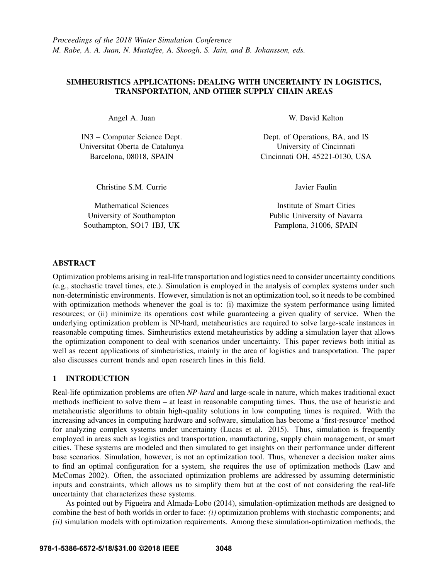# SIMHEURISTICS APPLICATIONS: DEALING WITH UNCERTAINTY IN LOGISTICS, TRANSPORTATION, AND OTHER SUPPLY CHAIN AREAS

Angel A. Juan

IN3 – Computer Science Dept. Universitat Oberta de Catalunya Barcelona, 08018, SPAIN

Christine S.M. Currie

Mathematical Sciences University of Southampton Southampton, SO17 1BJ, UK W. David Kelton

Dept. of Operations, BA, and IS University of Cincinnati Cincinnati OH, 45221-0130, USA

Javier Faulin

Institute of Smart Cities Public University of Navarra Pamplona, 31006, SPAIN

# ABSTRACT

Optimization problems arising in real-life transportation and logistics need to consider uncertainty conditions (e.g., stochastic travel times, etc.). Simulation is employed in the analysis of complex systems under such non-deterministic environments. However, simulation is not an optimization tool, so it needs to be combined with optimization methods whenever the goal is to: (i) maximize the system performance using limited resources; or (ii) minimize its operations cost while guaranteeing a given quality of service. When the underlying optimization problem is NP-hard, metaheuristics are required to solve large-scale instances in reasonable computing times. Simheuristics extend metaheuristics by adding a simulation layer that allows the optimization component to deal with scenarios under uncertainty. This paper reviews both initial as well as recent applications of simheuristics, mainly in the area of logistics and transportation. The paper also discusses current trends and open research lines in this field.

# 1 INTRODUCTION

Real-life optimization problems are often *NP-hard* and large-scale in nature, which makes traditional exact methods inefficient to solve them – at least in reasonable computing times. Thus, the use of heuristic and metaheuristic algorithms to obtain high-quality solutions in low computing times is required. With the increasing advances in computing hardware and software, simulation has become a 'first-resource' method for analyzing complex systems under uncertainty (Lucas et al. 2015). Thus, simulation is frequently employed in areas such as logistics and transportation, manufacturing, supply chain management, or smart cities. These systems are modeled and then simulated to get insights on their performance under different base scenarios. Simulation, however, is not an optimization tool. Thus, whenever a decision maker aims to find an optimal configuration for a system, she requires the use of optimization methods (Law and McComas 2002). Often, the associated optimization problems are addressed by assuming deterministic inputs and constraints, which allows us to simplify them but at the cost of not considering the real-life uncertainty that characterizes these systems.

As pointed out by Figueira and Almada-Lobo (2014), simulation-optimization methods are designed to combine the best of both worlds in order to face: *(i)* optimization problems with stochastic components; and *(ii)* simulation models with optimization requirements. Among these simulation-optimization methods, the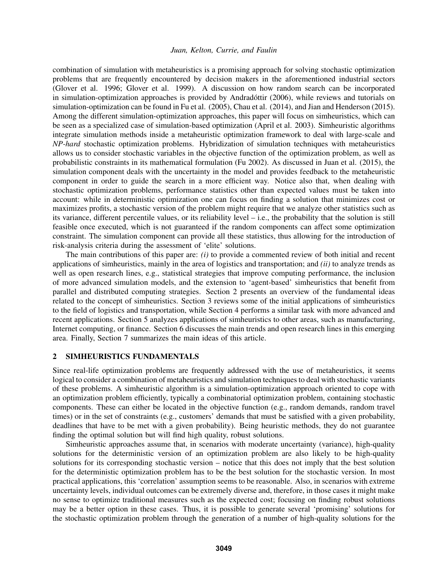combination of simulation with metaheuristics is a promising approach for solving stochastic optimization problems that are frequently encountered by decision makers in the aforementioned industrial sectors (Glover et al. 1996; Glover et al. 1999). A discussion on how random search can be incorporated in simulation-optimization approaches is provided by Andradóttir (2006), while reviews and tutorials on simulation-optimization can be found in Fu et al. (2005), Chau et al. (2014), and Jian and Henderson (2015). Among the different simulation-optimization approaches, this paper will focus on simheuristics, which can be seen as a specialized case of simulation-based optimization (April et al. 2003). Simheuristic algorithms integrate simulation methods inside a metaheuristic optimization framework to deal with large-scale and *NP-hard* stochastic optimization problems. Hybridization of simulation techniques with metaheuristics allows us to consider stochastic variables in the objective function of the optimization problem, as well as probabilistic constraints in its mathematical formulation (Fu 2002). As discussed in Juan et al. (2015), the simulation component deals with the uncertainty in the model and provides feedback to the metaheuristic component in order to guide the search in a more efficient way. Notice also that, when dealing with stochastic optimization problems, performance statistics other than expected values must be taken into account: while in deterministic optimization one can focus on finding a solution that minimizes cost or maximizes profits, a stochastic version of the problem might require that we analyze other statistics such as its variance, different percentile values, or its reliability level – i.e., the probability that the solution is still feasible once executed, which is not guaranteed if the random components can affect some optimization constraint. The simulation component can provide all these statistics, thus allowing for the introduction of risk-analysis criteria during the assessment of 'elite' solutions.

The main contributions of this paper are: *(i)* to provide a commented review of both initial and recent applications of simheuristics, mainly in the area of logistics and transportation; and *(ii)* to analyze trends as well as open research lines, e.g., statistical strategies that improve computing performance, the inclusion of more advanced simulation models, and the extension to 'agent-based' simheuristics that benefit from parallel and distributed computing strategies. Section 2 presents an overview of the fundamental ideas related to the concept of simheuristics. Section 3 reviews some of the initial applications of simheuristics to the field of logistics and transportation, while Section 4 performs a similar task with more advanced and recent applications. Section 5 analyzes applications of simheuristics to other areas, such as manufacturing, Internet computing, or finance. Section 6 discusses the main trends and open research lines in this emerging area. Finally, Section 7 summarizes the main ideas of this article.

#### 2 SIMHEURISTICS FUNDAMENTALS

Since real-life optimization problems are frequently addressed with the use of metaheuristics, it seems logical to consider a combination of metaheuristics and simulation techniques to deal with stochastic variants of these problems. A simheuristic algorithm is a simulation-optimization approach oriented to cope with an optimization problem efficiently, typically a combinatorial optimization problem, containing stochastic components. These can either be located in the objective function (e.g., random demands, random travel times) or in the set of constraints (e.g., customers' demands that must be satisfied with a given probability, deadlines that have to be met with a given probability). Being heuristic methods, they do not guarantee finding the optimal solution but will find high quality, robust solutions.

Simheuristic approaches assume that, in scenarios with moderate uncertainty (variance), high-quality solutions for the deterministic version of an optimization problem are also likely to be high-quality solutions for its corresponding stochastic version – notice that this does not imply that the best solution for the deterministic optimization problem has to be the best solution for the stochastic version. In most practical applications, this 'correlation' assumption seems to be reasonable. Also, in scenarios with extreme uncertainty levels, individual outcomes can be extremely diverse and, therefore, in those cases it might make no sense to optimize traditional measures such as the expected cost; focusing on finding robust solutions may be a better option in these cases. Thus, it is possible to generate several 'promising' solutions for the stochastic optimization problem through the generation of a number of high-quality solutions for the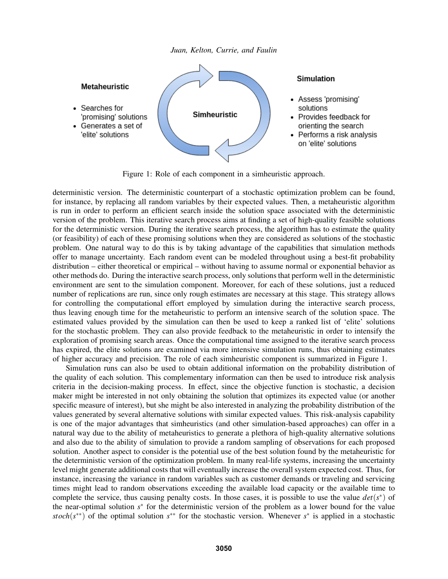

Figure 1: Role of each component in a simheuristic approach.

deterministic version. The deterministic counterpart of a stochastic optimization problem can be found, for instance, by replacing all random variables by their expected values. Then, a metaheuristic algorithm is run in order to perform an efficient search inside the solution space associated with the deterministic version of the problem. This iterative search process aims at finding a set of high-quality feasible solutions for the deterministic version. During the iterative search process, the algorithm has to estimate the quality (or feasibility) of each of these promising solutions when they are considered as solutions of the stochastic problem. One natural way to do this is by taking advantage of the capabilities that simulation methods offer to manage uncertainty. Each random event can be modeled throughout using a best-fit probability distribution – either theoretical or empirical – without having to assume normal or exponential behavior as other methods do. During the interactive search process, only solutions that perform well in the deterministic environment are sent to the simulation component. Moreover, for each of these solutions, just a reduced number of replications are run, since only rough estimates are necessary at this stage. This strategy allows for controlling the computational effort employed by simulation during the interactive search process, thus leaving enough time for the metaheuristic to perform an intensive search of the solution space. The estimated values provided by the simulation can then be used to keep a ranked list of 'elite' solutions for the stochastic problem. They can also provide feedback to the metaheuristic in order to intensify the exploration of promising search areas. Once the computational time assigned to the iterative search process has expired, the elite solutions are examined via more intensive simulation runs, thus obtaining estimates of higher accuracy and precision. The role of each simheuristic component is summarized in Figure 1.

Simulation runs can also be used to obtain additional information on the probability distribution of the quality of each solution. This complementary information can then be used to introduce risk analysis criteria in the decision-making process. In effect, since the objective function is stochastic, a decision maker might be interested in not only obtaining the solution that optimizes its expected value (or another specific measure of interest), but she might be also interested in analyzing the probability distribution of the values generated by several alternative solutions with similar expected values. This risk-analysis capability is one of the major advantages that simheuristics (and other simulation-based approaches) can offer in a natural way due to the ability of metaheuristics to generate a plethora of high-quality alternative solutions and also due to the ability of simulation to provide a random sampling of observations for each proposed solution. Another aspect to consider is the potential use of the best solution found by the metaheuristic for the deterministic version of the optimization problem. In many real-life systems, increasing the uncertainty level might generate additional costs that will eventually increase the overall system expected cost. Thus, for instance, increasing the variance in random variables such as customer demands or traveling and servicing times might lead to random observations exceeding the available load capacity or the available time to complete the service, thus causing penalty costs. In those cases, it is possible to use the value  $det(s^*)$  of the near-optimal solution *s*<sup>\*</sup> for the deterministic version of the problem as a lower bound for the value *stoch*(*s*<sup>\*\*</sup>) of the optimal solution *s*<sup>\*\*</sup> for the stochastic version. Whenever *s*<sup>\*</sup> is applied in a stochastic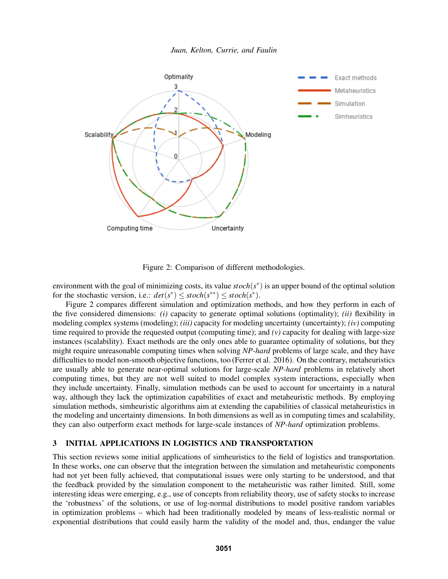

Figure 2: Comparison of different methodologies.

environment with the goal of minimizing costs, its value  $stoch(s^*)$  is an upper bound of the optimal solution for the stochastic version, i.e.:  $det(s^*) \leq stoch(s^{**}) \leq stoch(s^*)$ .

Figure 2 compares different simulation and optimization methods, and how they perform in each of the five considered dimensions: *(i)* capacity to generate optimal solutions (optimality); *(ii)* flexibility in modeling complex systems (modeling); *(iii)* capacity for modeling uncertainty (uncertainty); *(iv)* computing time required to provide the requested output (computing time); and  $(v)$  capacity for dealing with large-size instances (scalability). Exact methods are the only ones able to guarantee optimality of solutions, but they might require unreasonable computing times when solving *NP-hard* problems of large scale, and they have difficulties to model non-smooth objective functions, too (Ferrer et al. 2016). On the contrary, metaheuristics are usually able to generate near-optimal solutions for large-scale *NP-hard* problems in relatively short computing times, but they are not well suited to model complex system interactions, especially when they include uncertainty. Finally, simulation methods can be used to account for uncertainty in a natural way, although they lack the optimization capabilities of exact and metaheuristic methods. By employing simulation methods, simheuristic algorithms aim at extending the capabilities of classical metaheuristics in the modeling and uncertainty dimensions. In both dimensions as well as in computing times and scalability, they can also outperform exact methods for large-scale instances of *NP-hard* optimization problems.

### 3 INITIAL APPLICATIONS IN LOGISTICS AND TRANSPORTATION

This section reviews some initial applications of simheuristics to the field of logistics and transportation. In these works, one can observe that the integration between the simulation and metaheuristic components had not yet been fully achieved, that computational issues were only starting to be understood, and that the feedback provided by the simulation component to the metaheuristic was rather limited. Still, some interesting ideas were emerging, e.g., use of concepts from reliability theory, use of safety stocks to increase the 'robustness' of the solutions, or use of log-normal distributions to model positive random variables in optimization problems – which had been traditionally modeled by means of less-realistic normal or exponential distributions that could easily harm the validity of the model and, thus, endanger the value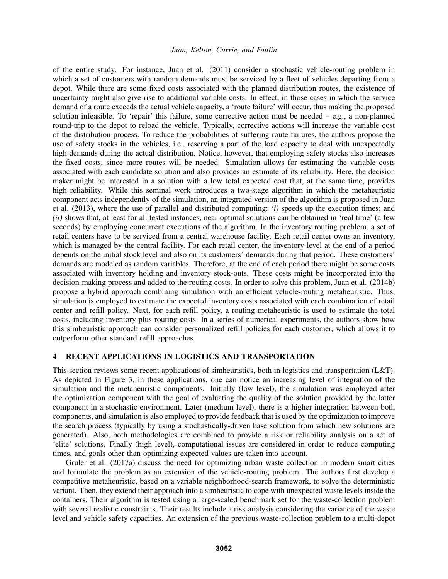of the entire study. For instance, Juan et al. (2011) consider a stochastic vehicle-routing problem in which a set of customers with random demands must be serviced by a fleet of vehicles departing from a depot. While there are some fixed costs associated with the planned distribution routes, the existence of uncertainty might also give rise to additional variable costs. In effect, in those cases in which the service demand of a route exceeds the actual vehicle capacity, a 'route failure' will occur, thus making the proposed solution infeasible. To 'repair' this failure, some corrective action must be needed – e.g., a non-planned round-trip to the depot to reload the vehicle. Typically, corrective actions will increase the variable cost of the distribution process. To reduce the probabilities of suffering route failures, the authors propose the use of safety stocks in the vehicles, i.e., reserving a part of the load capacity to deal with unexpectedly high demands during the actual distribution. Notice, however, that employing safety stocks also increases the fixed costs, since more routes will be needed. Simulation allows for estimating the variable costs associated with each candidate solution and also provides an estimate of its reliability. Here, the decision maker might be interested in a solution with a low total expected cost that, at the same time, provides high reliability. While this seminal work introduces a two-stage algorithm in which the metaheuristic component acts independently of the simulation, an integrated version of the algorithm is proposed in Juan et al. (2013), where the use of parallel and distributed computing: *(i)* speeds up the execution times; and *(ii)* shows that, at least for all tested instances, near-optimal solutions can be obtained in 'real time' (a few seconds) by employing concurrent executions of the algorithm. In the inventory routing problem, a set of retail centers have to be serviced from a central warehouse facility. Each retail center owns an inventory, which is managed by the central facility. For each retail center, the inventory level at the end of a period depends on the initial stock level and also on its customers' demands during that period. These customers' demands are modeled as random variables. Therefore, at the end of each period there might be some costs associated with inventory holding and inventory stock-outs. These costs might be incorporated into the decision-making process and added to the routing costs. In order to solve this problem, Juan et al. (2014b) propose a hybrid approach combining simulation with an efficient vehicle-routing metaheuristic. Thus, simulation is employed to estimate the expected inventory costs associated with each combination of retail center and refill policy. Next, for each refill policy, a routing metaheuristic is used to estimate the total costs, including inventory plus routing costs. In a series of numerical experiments, the authors show how this simheuristic approach can consider personalized refill policies for each customer, which allows it to outperform other standard refill approaches.

#### 4 RECENT APPLICATIONS IN LOGISTICS AND TRANSPORTATION

This section reviews some recent applications of simheuristics, both in logistics and transportation (L&T). As depicted in Figure 3, in these applications, one can notice an increasing level of integration of the simulation and the metaheuristic components. Initially (low level), the simulation was employed after the optimization component with the goal of evaluating the quality of the solution provided by the latter component in a stochastic environment. Later (medium level), there is a higher integration between both components, and simulation is also employed to provide feedback that is used by the optimization to improve the search process (typically by using a stochastically-driven base solution from which new solutions are generated). Also, both methodologies are combined to provide a risk or reliability analysis on a set of 'elite' solutions. Finally (high level), computational issues are considered in order to reduce computing times, and goals other than optimizing expected values are taken into account.

Gruler et al. (2017a) discuss the need for optimizing urban waste collection in modern smart cities and formulate the problem as an extension of the vehicle-routing problem. The authors first develop a competitive metaheuristic, based on a variable neighborhood-search framework, to solve the deterministic variant. Then, they extend their approach into a simheuristic to cope with unexpected waste levels inside the containers. Their algorithm is tested using a large-scaled benchmark set for the waste-collection problem with several realistic constraints. Their results include a risk analysis considering the variance of the waste level and vehicle safety capacities. An extension of the previous waste-collection problem to a multi-depot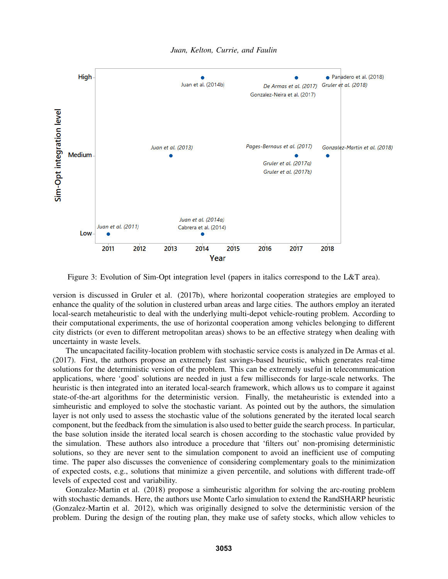

Figure 3: Evolution of Sim-Opt integration level (papers in italics correspond to the L&T area).

version is discussed in Gruler et al. (2017b), where horizontal cooperation strategies are employed to enhance the quality of the solution in clustered urban areas and large cities. The authors employ an iterated local-search metaheuristic to deal with the underlying multi-depot vehicle-routing problem. According to their computational experiments, the use of horizontal cooperation among vehicles belonging to different city districts (or even to different metropolitan areas) shows to be an effective strategy when dealing with uncertainty in waste levels.

The uncapacitated facility-location problem with stochastic service costs is analyzed in De Armas et al. (2017). First, the authors propose an extremely fast savings-based heuristic, which generates real-time solutions for the deterministic version of the problem. This can be extremely useful in telecommunication applications, where 'good' solutions are needed in just a few milliseconds for large-scale networks. The heuristic is then integrated into an iterated local-search framework, which allows us to compare it against state-of-the-art algorithms for the deterministic version. Finally, the metaheuristic is extended into a simheuristic and employed to solve the stochastic variant. As pointed out by the authors, the simulation layer is not only used to assess the stochastic value of the solutions generated by the iterated local search component, but the feedback from the simulation is also used to better guide the search process. In particular, the base solution inside the iterated local search is chosen according to the stochastic value provided by the simulation. These authors also introduce a procedure that 'filters out' non-promising deterministic solutions, so they are never sent to the simulation component to avoid an inefficient use of computing time. The paper also discusses the convenience of considering complementary goals to the minimization of expected costs, e.g., solutions that minimize a given percentile, and solutions with different trade-off levels of expected cost and variability.

Gonzalez-Martin et al. (2018) propose a simheuristic algorithm for solving the arc-routing problem with stochastic demands. Here, the authors use Monte Carlo simulation to extend the RandSHARP heuristic (Gonzalez-Martin et al. 2012), which was originally designed to solve the deterministic version of the problem. During the design of the routing plan, they make use of safety stocks, which allow vehicles to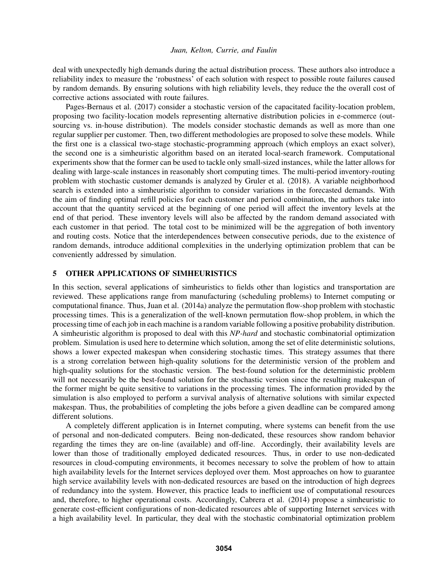deal with unexpectedly high demands during the actual distribution process. These authors also introduce a reliability index to measure the 'robustness' of each solution with respect to possible route failures caused by random demands. By ensuring solutions with high reliability levels, they reduce the the overall cost of corrective actions associated with route failures.

Pages-Bernaus et al. (2017) consider a stochastic version of the capacitated facility-location problem, proposing two facility-location models representing alternative distribution policies in e-commerce (outsourcing vs. in-house distribution). The models consider stochastic demands as well as more than one regular supplier per customer. Then, two different methodologies are proposed to solve these models. While the first one is a classical two-stage stochastic-programming approach (which employs an exact solver), the second one is a simheuristic algorithm based on an iterated local-search framework. Computational experiments show that the former can be used to tackle only small-sized instances, while the latter allows for dealing with large-scale instances in reasonably short computing times. The multi-period inventory-routing problem with stochastic customer demands is analyzed by Gruler et al. (2018). A variable neighborhood search is extended into a simheuristic algorithm to consider variations in the forecasted demands. With the aim of finding optimal refill policies for each customer and period combination, the authors take into account that the quantity serviced at the beginning of one period will affect the inventory levels at the end of that period. These inventory levels will also be affected by the random demand associated with each customer in that period. The total cost to be minimized will be the aggregation of both inventory and routing costs. Notice that the interdependences between consecutive periods, due to the existence of random demands, introduce additional complexities in the underlying optimization problem that can be conveniently addressed by simulation.

# 5 OTHER APPLICATIONS OF SIMHEURISTICS

In this section, several applications of simheuristics to fields other than logistics and transportation are reviewed. These applications range from manufacturing (scheduling problems) to Internet computing or computational finance. Thus, Juan et al. (2014a) analyze the permutation flow-shop problem with stochastic processing times. This is a generalization of the well-known permutation flow-shop problem, in which the processing time of each job in each machine is a random variable following a positive probability distribution. A simheuristic algorithm is proposed to deal with this *NP-hard* and stochastic combinatorial optimization problem. Simulation is used here to determine which solution, among the set of elite deterministic solutions, shows a lower expected makespan when considering stochastic times. This strategy assumes that there is a strong correlation between high-quality solutions for the deterministic version of the problem and high-quality solutions for the stochastic version. The best-found solution for the deterministic problem will not necessarily be the best-found solution for the stochastic version since the resulting makespan of the former might be quite sensitive to variations in the processing times. The information provided by the simulation is also employed to perform a survival analysis of alternative solutions with similar expected makespan. Thus, the probabilities of completing the jobs before a given deadline can be compared among different solutions.

A completely different application is in Internet computing, where systems can benefit from the use of personal and non-dedicated computers. Being non-dedicated, these resources show random behavior regarding the times they are on-line (available) and off-line. Accordingly, their availability levels are lower than those of traditionally employed dedicated resources. Thus, in order to use non-dedicated resources in cloud-computing environments, it becomes necessary to solve the problem of how to attain high availability levels for the Internet services deployed over them. Most approaches on how to guarantee high service availability levels with non-dedicated resources are based on the introduction of high degrees of redundancy into the system. However, this practice leads to inefficient use of computational resources and, therefore, to higher operational costs. Accordingly, Cabrera et al. (2014) propose a simheuristic to generate cost-efficient configurations of non-dedicated resources able of supporting Internet services with a high availability level. In particular, they deal with the stochastic combinatorial optimization problem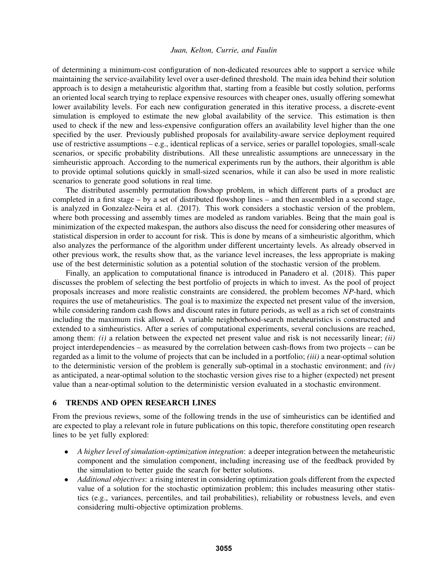of determining a minimum-cost configuration of non-dedicated resources able to support a service while maintaining the service-availability level over a user-defined threshold. The main idea behind their solution approach is to design a metaheuristic algorithm that, starting from a feasible but costly solution, performs an oriented local search trying to replace expensive resources with cheaper ones, usually offering somewhat lower availability levels. For each new configuration generated in this iterative process, a discrete-event simulation is employed to estimate the new global availability of the service. This estimation is then used to check if the new and less-expensive configuration offers an availability level higher than the one specified by the user. Previously published proposals for availability-aware service deployment required use of restrictive assumptions  $-\mathbf{e} \cdot \mathbf{g}$ , identical replicas of a service, series or parallel topologies, small-scale scenarios, or specific probability distributions. All these unrealistic assumptions are unnecessary in the simheuristic approach. According to the numerical experiments run by the authors, their algorithm is able to provide optimal solutions quickly in small-sized scenarios, while it can also be used in more realistic scenarios to generate good solutions in real time.

The distributed assembly permutation flowshop problem, in which different parts of a product are completed in a first stage – by a set of distributed flowshop lines – and then assembled in a second stage, is analyzed in Gonzalez-Neira et al. (2017). This work considers a stochastic version of the problem, where both processing and assembly times are modeled as random variables. Being that the main goal is minimization of the expected makespan, the authors also discuss the need for considering other measures of statistical dispersion in order to account for risk. This is done by means of a simheuristic algorithm, which also analyzes the performance of the algorithm under different uncertainty levels. As already observed in other previous work, the results show that, as the variance level increases, the less appropriate is making use of the best deterministic solution as a potential solution of the stochastic version of the problem.

Finally, an application to computational finance is introduced in Panadero et al. (2018). This paper discusses the problem of selecting the best portfolio of projects in which to invest. As the pool of project proposals increases and more realistic constraints are considered, the problem becomes *NP*-hard, which requires the use of metaheuristics. The goal is to maximize the expected net present value of the inversion, while considering random cash flows and discount rates in future periods, as well as a rich set of constraints including the maximum risk allowed. A variable neighborhood-search metaheuristics is constructed and extended to a simheuristics. After a series of computational experiments, several conclusions are reached, among them: *(i)* a relation between the expected net present value and risk is not necessarily linear; *(ii)* project interdependencies – as measured by the correlation between cash-flows from two projects – can be regarded as a limit to the volume of projects that can be included in a portfolio; *(iii)* a near-optimal solution to the deterministic version of the problem is generally sub-optimal in a stochastic environment; and *(iv)* as anticipated, a near-optimal solution to the stochastic version gives rise to a higher (expected) net present value than a near-optimal solution to the deterministic version evaluated in a stochastic environment.

#### 6 TRENDS AND OPEN RESEARCH LINES

From the previous reviews, some of the following trends in the use of simheuristics can be identified and are expected to play a relevant role in future publications on this topic, therefore constituting open research lines to be yet fully explored:

- *A higher level of simulation-optimization integration*: a deeper integration between the metaheuristic component and the simulation component, including increasing use of the feedback provided by the simulation to better guide the search for better solutions.
- *Additional objectives*: a rising interest in considering optimization goals different from the expected value of a solution for the stochastic optimization problem; this includes measuring other statistics (e.g., variances, percentiles, and tail probabilities), reliability or robustness levels, and even considering multi-objective optimization problems.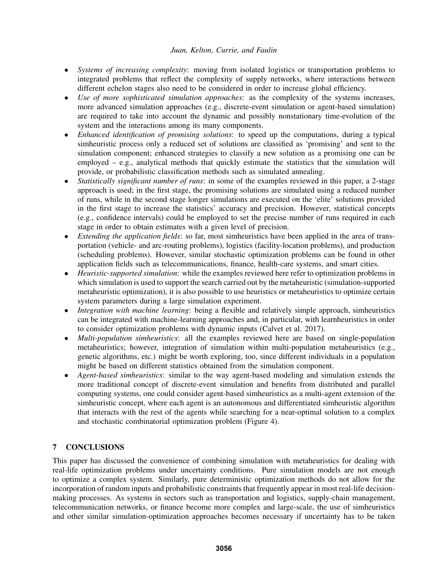- *Systems of increasing complexity*: moving from isolated logistics or transportation problems to integrated problems that reflect the complexity of supply networks, where interactions between different echelon stages also need to be considered in order to increase global efficiency.
- *Use of more sophisticated simulation approaches*: as the complexity of the systems increases, more advanced simulation approaches (e.g., discrete-event simulation or agent-based simulation) are required to take into account the dynamic and possibly nonstationary time-evolution of the system and the interactions among its many components.
- *Enhanced identification of promising solutions*: to speed up the computations, during a typical simheuristic process only a reduced set of solutions are classified as 'promising' and sent to the simulation component; enhanced strategies to classify a new solution as a promising one can be employed  $-$  e.g., analytical methods that quickly estimate the statistics that the simulation will provide, or probabilistic classification methods such as simulated annealing.
- *Statistically significant number of runs*: in some of the examples reviewed in this paper, a 2-stage approach is used; in the first stage, the promising solutions are simulated using a reduced number of runs, while in the second stage longer simulations are executed on the 'elite' solutions provided in the first stage to increase the statistics' accuracy and precision. However, statistical concepts (e.g., confidence intervals) could be employed to set the precise number of runs required in each stage in order to obtain estimates with a given level of precision.
- *Extending the application fields*: so far, most simheuristics have been applied in the area of transportation (vehicle- and arc-routing problems), logistics (facility-location problems), and production (scheduling problems). However, similar stochastic optimization problems can be found in other application fields such as telecommunications, finance, health-care systems, and smart cities.
- *Heuristic-supported simulation*: while the examples reviewed here refer to optimization problems in which simulation is used to support the search carried out by the metaheuristic (simulation-supported metaheuristic optimization), it is also possible to use heuristics or metaheuristics to optimize certain system parameters during a large simulation experiment.
- *Integration with machine learning*: being a flexible and relatively simple approach, simheuristics can be integrated with machine-learning approaches and, in particular, with learnheuristics in order to consider optimization problems with dynamic inputs (Calvet et al. 2017).
- *Multi-population simheuristics*: all the examples reviewed here are based on single-population metaheuristics; however, integration of simulation within multi-population metaheuristics (e.g., genetic algorithms, etc.) might be worth exploring, too, since different individuals in a population might be based on different statistics obtained from the simulation component.
- *Agent-based simheuristics*: similar to the way agent-based modeling and simulation extends the more traditional concept of discrete-event simulation and benefits from distributed and parallel computing systems, one could consider agent-based simheuristics as a multi-agent extension of the simheuristic concept, where each agent is an autonomous and differentiated simheuristic algorithm that interacts with the rest of the agents while searching for a near-optimal solution to a complex and stochastic combinatorial optimization problem (Figure 4).

# 7 CONCLUSIONS

This paper has discussed the convenience of combining simulation with metaheuristics for dealing with real-life optimization problems under uncertainty conditions. Pure simulation models are not enough to optimize a complex system. Similarly, pure deterministic optimization methods do not allow for the incorporation of random inputs and probabilistic constraints that frequently appear in most real-life decisionmaking processes. As systems in sectors such as transportation and logistics, supply-chain management, telecommunication networks, or finance become more complex and large-scale, the use of simheuristics and other similar simulation-optimization approaches becomes necessary if uncertainty has to be taken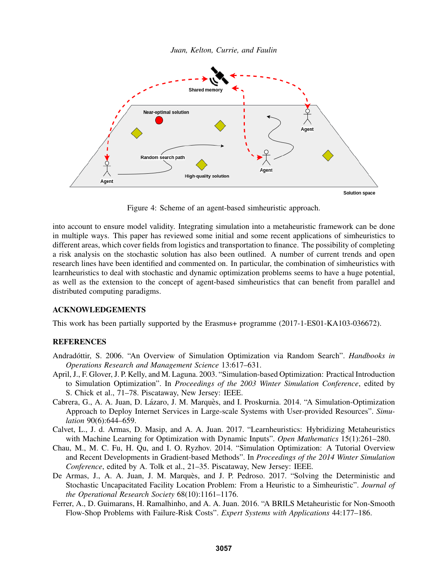



Figure 4: Scheme of an agent-based simheuristic approach.

into account to ensure model validity. Integrating simulation into a metaheuristic framework can be done in multiple ways. This paper has reviewed some initial and some recent applications of simheuristics to different areas, which cover fields from logistics and transportation to finance. The possibility of completing a risk analysis on the stochastic solution has also been outlined. A number of current trends and open research lines have been identified and commented on. In particular, the combination of simheuristics with learnheuristics to deal with stochastic and dynamic optimization problems seems to have a huge potential, as well as the extension to the concept of agent-based simheuristics that can benefit from parallel and distributed computing paradigms.

### ACKNOWLEDGEMENTS

This work has been partially supported by the Erasmus+ programme (2017-1-ES01-KA103-036672).

# **REFERENCES**

- Andradóttir, S. 2006. "An Overview of Simulation Optimization via Random Search". *Handbooks in Operations Research and Management Science* 13:617–631.
- April, J., F. Glover, J. P. Kelly, and M. Laguna. 2003. "Simulation-based Optimization: Practical Introduction to Simulation Optimization". In *Proceedings of the 2003 Winter Simulation Conference*, edited by S. Chick et al., 71–78. Piscataway, New Jersey: IEEE.
- Cabrera, G., A. A. Juan, D. Lázaro, J. M. Marquès, and I. Proskurnia. 2014. "A Simulation-Optimization Approach to Deploy Internet Services in Large-scale Systems with User-provided Resources". *Simulation* 90(6):644–659.
- Calvet, L., J. d. Armas, D. Masip, and A. A. Juan. 2017. "Learnheuristics: Hybridizing Metaheuristics with Machine Learning for Optimization with Dynamic Inputs". *Open Mathematics* 15(1):261–280.
- Chau, M., M. C. Fu, H. Qu, and I. O. Ryzhov. 2014. "Simulation Optimization: A Tutorial Overview and Recent Developments in Gradient-based Methods". In *Proceedings of the 2014 Winter Simulation Conference*, edited by A. Tolk et al., 21–35. Piscataway, New Jersey: IEEE.
- De Armas, J., A. A. Juan, J. M. Marquès, and J. P. Pedroso. 2017. "Solving the Deterministic and Stochastic Uncapacitated Facility Location Problem: From a Heuristic to a Simheuristic". *Journal of the Operational Research Society* 68(10):1161–1176.
- Ferrer, A., D. Guimarans, H. Ramalhinho, and A. A. Juan. 2016. "A BRILS Metaheuristic for Non-Smooth Flow-Shop Problems with Failure-Risk Costs". *Expert Systems with Applications* 44:177–186.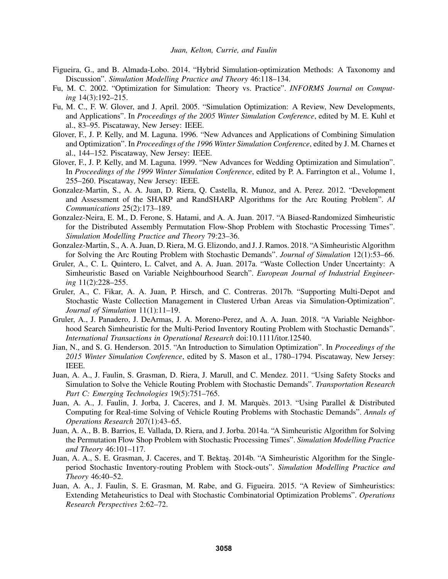- Figueira, G., and B. Almada-Lobo. 2014. "Hybrid Simulation-optimization Methods: A Taxonomy and Discussion". *Simulation Modelling Practice and Theory* 46:118–134.
- Fu, M. C. 2002. "Optimization for Simulation: Theory vs. Practice". *INFORMS Journal on Computing* 14(3):192–215.
- Fu, M. C., F. W. Glover, and J. April. 2005. "Simulation Optimization: A Review, New Developments, and Applications". In *Proceedings of the 2005 Winter Simulation Conference*, edited by M. E. Kuhl et al., 83–95. Piscataway, New Jersey: IEEE.
- Glover, F., J. P. Kelly, and M. Laguna. 1996. "New Advances and Applications of Combining Simulation and Optimization". In *Proceedings of the 1996 Winter Simulation Conference*, edited by J. M. Charnes et al., 144–152. Piscataway, New Jersey: IEEE.
- Glover, F., J. P. Kelly, and M. Laguna. 1999. "New Advances for Wedding Optimization and Simulation". In *Proceedings of the 1999 Winter Simulation Conference*, edited by P. A. Farrington et al., Volume 1, 255–260. Piscataway, New Jersey: IEEE.
- Gonzalez-Martin, S., A. A. Juan, D. Riera, Q. Castella, R. Munoz, and A. Perez. 2012. "Development and Assessment of the SHARP and RandSHARP Algorithms for the Arc Routing Problem". *AI Communications* 25(2):173–189.
- Gonzalez-Neira, E. M., D. Ferone, S. Hatami, and A. A. Juan. 2017. "A Biased-Randomized Simheuristic for the Distributed Assembly Permutation Flow-Shop Problem with Stochastic Processing Times". *Simulation Modelling Practice and Theory* 79:23–36.
- Gonzalez-Martin, S., A. A. Juan, D. Riera, M. G. Elizondo, and J. J. Ramos. 2018. "A Simheuristic Algorithm for Solving the Arc Routing Problem with Stochastic Demands". *Journal of Simulation* 12(1):53–66.
- Gruler, A., C. L. Quintero, L. Calvet, and A. A. Juan. 2017a. "Waste Collection Under Uncertainty: A Simheuristic Based on Variable Neighbourhood Search". *European Journal of Industrial Engineering* 11(2):228–255.
- Gruler, A., C. Fikar, A. A. Juan, P. Hirsch, and C. Contreras. 2017b. "Supporting Multi-Depot and Stochastic Waste Collection Management in Clustered Urban Areas via Simulation-Optimization". *Journal of Simulation* 11(1):11–19.
- Gruler, A., J. Panadero, J. DeArmas, J. A. Moreno-Perez, and A. A. Juan. 2018. "A Variable Neighborhood Search Simheuristic for the Multi-Period Inventory Routing Problem with Stochastic Demands". *International Transactions in Operational Research* doi:10.1111/itor.12540.
- Jian, N., and S. G. Henderson. 2015. "An Introduction to Simulation Optimization". In *Proceedings of the 2015 Winter Simulation Conference*, edited by S. Mason et al., 1780–1794. Piscataway, New Jersey: IEEE.
- Juan, A. A., J. Faulin, S. Grasman, D. Riera, J. Marull, and C. Mendez. 2011. "Using Safety Stocks and Simulation to Solve the Vehicle Routing Problem with Stochastic Demands". *Transportation Research Part C: Emerging Technologies* 19(5):751–765.
- Juan, A. A., J. Faulin, J. Jorba, J. Caceres, and J. M. Marquès. 2013. "Using Parallel & Distributed Computing for Real-time Solving of Vehicle Routing Problems with Stochastic Demands". *Annals of Operations Research* 207(1):43–65.
- Juan, A. A., B. B. Barrios, E. Vallada, D. Riera, and J. Jorba. 2014a. "A Simheuristic Algorithm for Solving the Permutation Flow Shop Problem with Stochastic Processing Times". *Simulation Modelling Practice and Theory* 46:101–117.
- Juan, A. A., S. E. Grasman, J. Caceres, and T. Bektaş. 2014b. "A Simheuristic Algorithm for the Singleperiod Stochastic Inventory-routing Problem with Stock-outs". *Simulation Modelling Practice and Theory* 46:40–52.
- Juan, A. A., J. Faulin, S. E. Grasman, M. Rabe, and G. Figueira. 2015. "A Review of Simheuristics: Extending Metaheuristics to Deal with Stochastic Combinatorial Optimization Problems". *Operations Research Perspectives* 2:62–72.